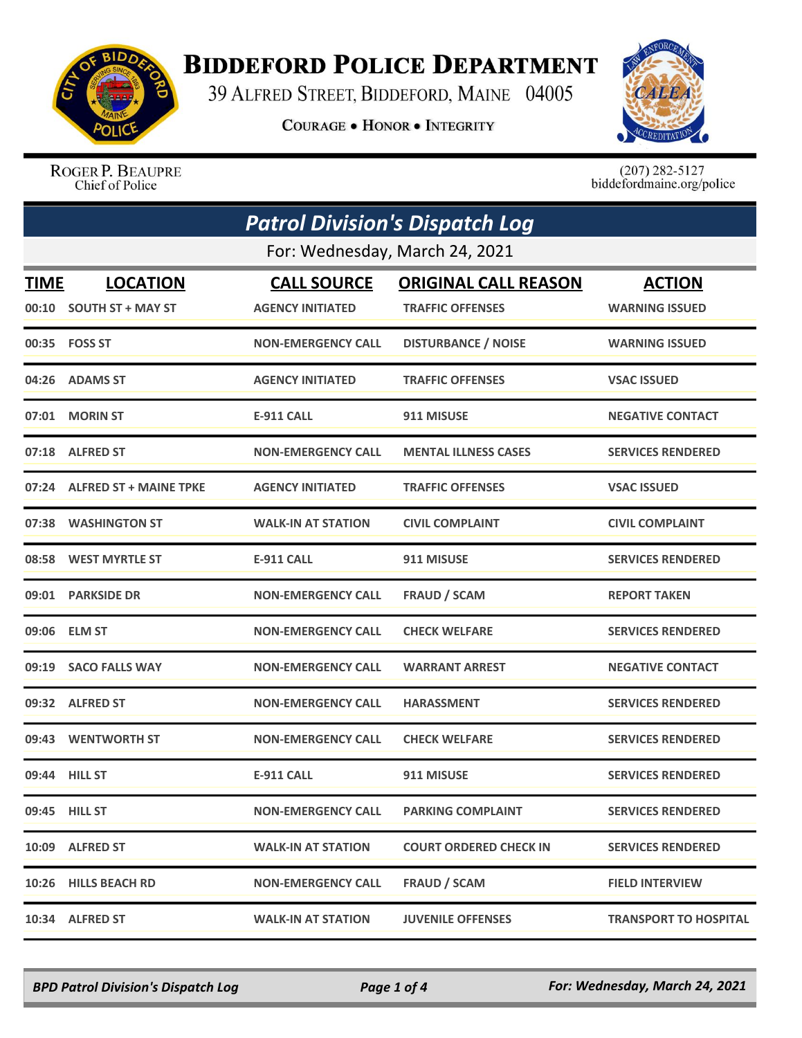

## **BIDDEFORD POLICE DEPARTMENT**

39 ALFRED STREET, BIDDEFORD, MAINE 04005

**COURAGE . HONOR . INTEGRITY** 



ROGER P. BEAUPRE Chief of Police

 $(207)$  282-5127<br>biddefordmaine.org/police

| <b>Patrol Division's Dispatch Log</b> |                                |                           |                               |                              |  |
|---------------------------------------|--------------------------------|---------------------------|-------------------------------|------------------------------|--|
|                                       | For: Wednesday, March 24, 2021 |                           |                               |                              |  |
| <b>TIME</b>                           | <b>LOCATION</b>                | <b>CALL SOURCE</b>        | <b>ORIGINAL CALL REASON</b>   | <b>ACTION</b>                |  |
|                                       | 00:10 SOUTH ST + MAY ST        | <b>AGENCY INITIATED</b>   | <b>TRAFFIC OFFENSES</b>       | <b>WARNING ISSUED</b>        |  |
|                                       | 00:35 FOSS ST                  | <b>NON-EMERGENCY CALL</b> | <b>DISTURBANCE / NOISE</b>    | <b>WARNING ISSUED</b>        |  |
| 04:26                                 | <b>ADAMS ST</b>                | <b>AGENCY INITIATED</b>   | <b>TRAFFIC OFFENSES</b>       | <b>VSAC ISSUED</b>           |  |
| 07:01                                 | <b>MORIN ST</b>                | E-911 CALL                | 911 MISUSE                    | <b>NEGATIVE CONTACT</b>      |  |
|                                       | 07:18 ALFRED ST                | <b>NON-EMERGENCY CALL</b> | <b>MENTAL ILLNESS CASES</b>   | <b>SERVICES RENDERED</b>     |  |
|                                       | 07:24 ALFRED ST + MAINE TPKE   | <b>AGENCY INITIATED</b>   | <b>TRAFFIC OFFENSES</b>       | <b>VSAC ISSUED</b>           |  |
|                                       | 07:38 WASHINGTON ST            | <b>WALK-IN AT STATION</b> | <b>CIVIL COMPLAINT</b>        | <b>CIVIL COMPLAINT</b>       |  |
|                                       | 08:58 WEST MYRTLE ST           | <b>E-911 CALL</b>         | 911 MISUSE                    | <b>SERVICES RENDERED</b>     |  |
|                                       | 09:01 PARKSIDE DR              | <b>NON-EMERGENCY CALL</b> | <b>FRAUD / SCAM</b>           | <b>REPORT TAKEN</b>          |  |
| 09:06                                 | <b>ELM ST</b>                  | <b>NON-EMERGENCY CALL</b> | <b>CHECK WELFARE</b>          | <b>SERVICES RENDERED</b>     |  |
|                                       | 09:19 SACO FALLS WAY           | <b>NON-EMERGENCY CALL</b> | <b>WARRANT ARREST</b>         | <b>NEGATIVE CONTACT</b>      |  |
|                                       | 09:32 ALFRED ST                | <b>NON-EMERGENCY CALL</b> | <b>HARASSMENT</b>             | <b>SERVICES RENDERED</b>     |  |
|                                       | 09:43 WENTWORTH ST             | <b>NON-EMERGENCY CALL</b> | <b>CHECK WELFARE</b>          | <b>SERVICES RENDERED</b>     |  |
|                                       | 09:44 HILL ST                  | <b>E-911 CALL</b>         | 911 MISUSE                    | <b>SERVICES RENDERED</b>     |  |
|                                       | 09:45 HILL ST                  | <b>NON-EMERGENCY CALL</b> | <b>PARKING COMPLAINT</b>      | <b>SERVICES RENDERED</b>     |  |
|                                       | 10:09 ALFRED ST                | <b>WALK-IN AT STATION</b> | <b>COURT ORDERED CHECK IN</b> | <b>SERVICES RENDERED</b>     |  |
| 10:26                                 | <b>HILLS BEACH RD</b>          | <b>NON-EMERGENCY CALL</b> | <b>FRAUD / SCAM</b>           | <b>FIELD INTERVIEW</b>       |  |
|                                       | 10:34 ALFRED ST                | <b>WALK-IN AT STATION</b> | <b>JUVENILE OFFENSES</b>      | <b>TRANSPORT TO HOSPITAL</b> |  |

*BPD Patrol Division's Dispatch Log Page 1 of 4 For: Wednesday, March 24, 2021*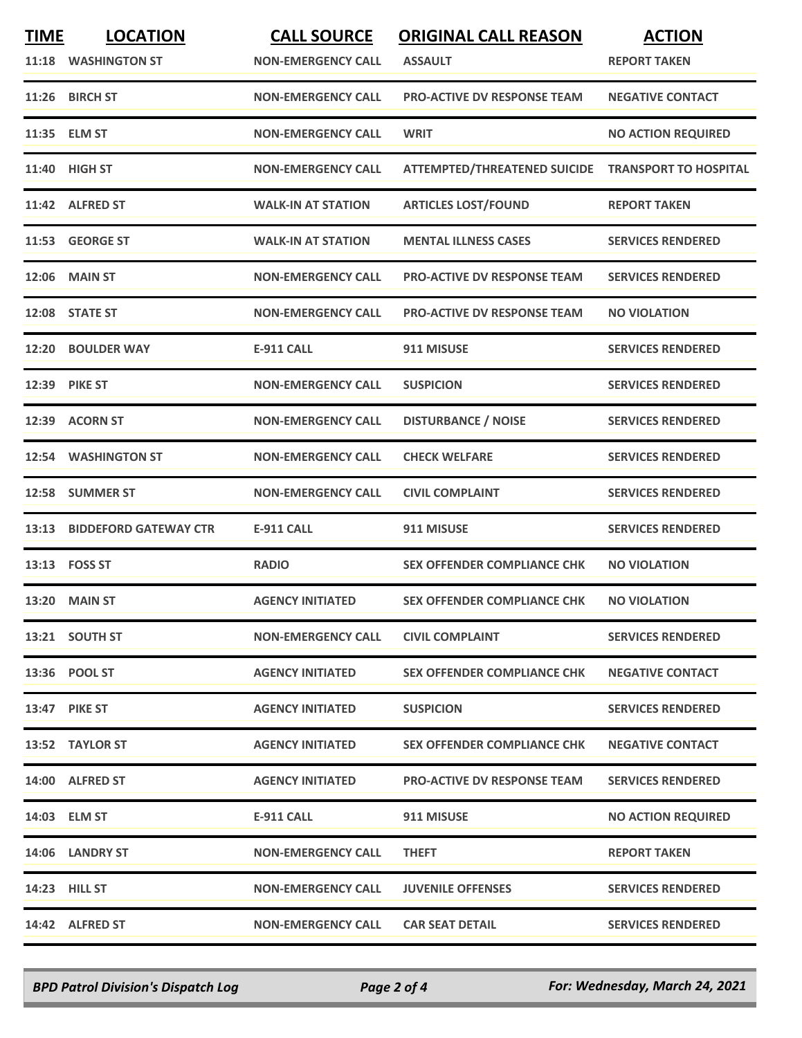| <b>TIME</b><br>11:18 | <b>LOCATION</b><br><b>WASHINGTON ST</b> | <b>CALL SOURCE</b><br><b>NON-EMERGENCY CALL</b> | <b>ORIGINAL CALL REASON</b><br><b>ASSAULT</b> | <b>ACTION</b><br><b>REPORT TAKEN</b> |
|----------------------|-----------------------------------------|-------------------------------------------------|-----------------------------------------------|--------------------------------------|
| 11:26                | <b>BIRCH ST</b>                         | <b>NON-EMERGENCY CALL</b>                       | <b>PRO-ACTIVE DV RESPONSE TEAM</b>            | <b>NEGATIVE CONTACT</b>              |
|                      | 11:35 ELM ST                            | <b>NON-EMERGENCY CALL</b>                       | <b>WRIT</b>                                   | <b>NO ACTION REQUIRED</b>            |
| 11:40                | <b>HIGH ST</b>                          | <b>NON-EMERGENCY CALL</b>                       | <b>ATTEMPTED/THREATENED SUICIDE</b>           | <b>TRANSPORT TO HOSPITAL</b>         |
|                      | 11:42 ALFRED ST                         | <b>WALK-IN AT STATION</b>                       | <b>ARTICLES LOST/FOUND</b>                    | <b>REPORT TAKEN</b>                  |
| 11:53                | <b>GEORGE ST</b>                        | <b>WALK-IN AT STATION</b>                       | <b>MENTAL ILLNESS CASES</b>                   | <b>SERVICES RENDERED</b>             |
| 12:06                | <b>MAIN ST</b>                          | <b>NON-EMERGENCY CALL</b>                       | <b>PRO-ACTIVE DV RESPONSE TEAM</b>            | <b>SERVICES RENDERED</b>             |
|                      | 12:08 STATE ST                          | <b>NON-EMERGENCY CALL</b>                       | <b>PRO-ACTIVE DV RESPONSE TEAM</b>            | <b>NO VIOLATION</b>                  |
| 12:20                | <b>BOULDER WAY</b>                      | <b>E-911 CALL</b>                               | 911 MISUSE                                    | <b>SERVICES RENDERED</b>             |
|                      | 12:39 PIKE ST                           | <b>NON-EMERGENCY CALL</b>                       | <b>SUSPICION</b>                              | <b>SERVICES RENDERED</b>             |
| 12:39                | <b>ACORN ST</b>                         | <b>NON-EMERGENCY CALL</b>                       | <b>DISTURBANCE / NOISE</b>                    | <b>SERVICES RENDERED</b>             |
|                      | 12:54 WASHINGTON ST                     | <b>NON-EMERGENCY CALL</b>                       | <b>CHECK WELFARE</b>                          | <b>SERVICES RENDERED</b>             |
| 12:58                | <b>SUMMER ST</b>                        | <b>NON-EMERGENCY CALL</b>                       | <b>CIVIL COMPLAINT</b>                        | <b>SERVICES RENDERED</b>             |
| 13:13                | <b>BIDDEFORD GATEWAY CTR</b>            | <b>E-911 CALL</b>                               | 911 MISUSE                                    | <b>SERVICES RENDERED</b>             |
|                      | 13:13    FOSS ST                        | <b>RADIO</b>                                    | <b>SEX OFFENDER COMPLIANCE CHK</b>            | <b>NO VIOLATION</b>                  |
| 13:20                | <b>MAIN ST</b>                          | <b>AGENCY INITIATED</b>                         | <b>SEX OFFENDER COMPLIANCE CHK</b>            | <b>NO VIOLATION</b>                  |
|                      | 13:21 SOUTH ST                          | <b>NON-EMERGENCY CALL</b>                       | <b>CIVIL COMPLAINT</b>                        | <b>SERVICES RENDERED</b>             |
|                      | 13:36 POOL ST                           | <b>AGENCY INITIATED</b>                         | <b>SEX OFFENDER COMPLIANCE CHK</b>            | <b>NEGATIVE CONTACT</b>              |
|                      | <b>13:47 PIKE ST</b>                    | <b>AGENCY INITIATED</b>                         | <b>SUSPICION</b>                              | <b>SERVICES RENDERED</b>             |
|                      | 13:52 TAYLOR ST                         | <b>AGENCY INITIATED</b>                         | <b>SEX OFFENDER COMPLIANCE CHK</b>            | <b>NEGATIVE CONTACT</b>              |
|                      | 14:00 ALFRED ST                         | <b>AGENCY INITIATED</b>                         | <b>PRO-ACTIVE DV RESPONSE TEAM</b>            | <b>SERVICES RENDERED</b>             |
|                      | 14:03 ELM ST                            | E-911 CALL                                      | 911 MISUSE                                    | <b>NO ACTION REQUIRED</b>            |
|                      | 14:06 LANDRY ST                         | <b>NON-EMERGENCY CALL</b>                       | <b>THEFT</b>                                  | <b>REPORT TAKEN</b>                  |
|                      | 14:23 HILL ST                           | <b>NON-EMERGENCY CALL</b>                       | <b>JUVENILE OFFENSES</b>                      | <b>SERVICES RENDERED</b>             |
|                      | 14:42 ALFRED ST                         | <b>NON-EMERGENCY CALL</b>                       | <b>CAR SEAT DETAIL</b>                        | <b>SERVICES RENDERED</b>             |

*BPD Patrol Division's Dispatch Log Page 2 of 4 For: Wednesday, March 24, 2021*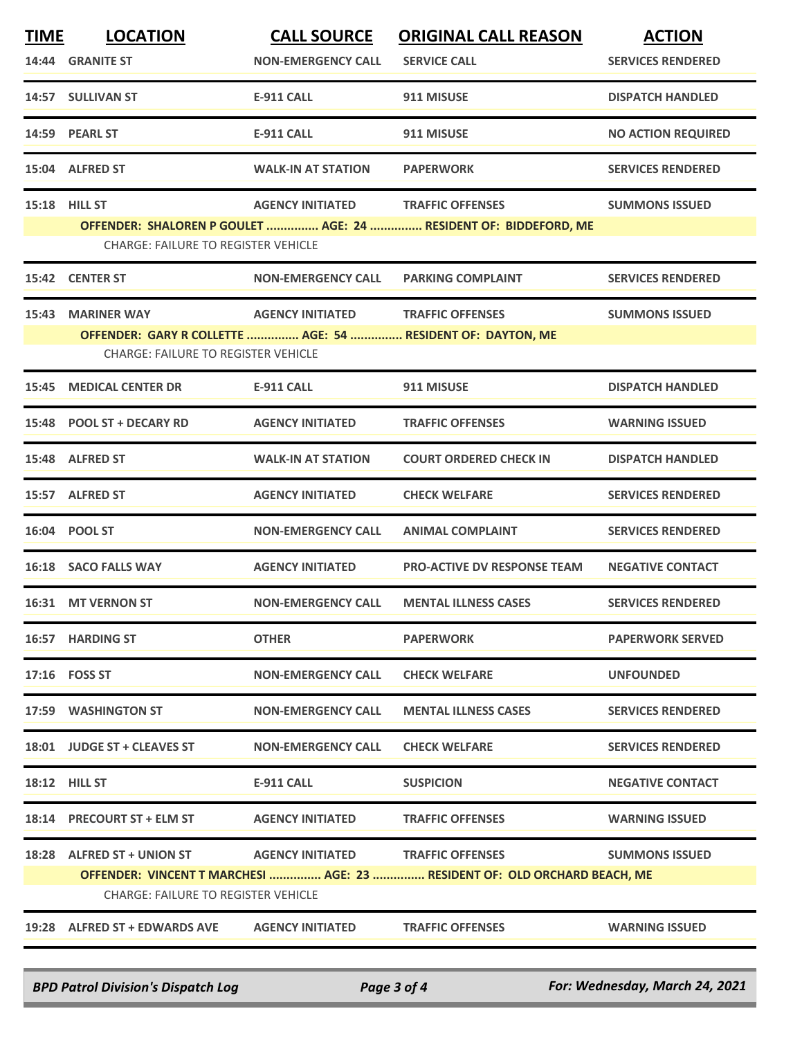| <b>TIME</b>   | <b>LOCATION</b>                                             | <b>CALL SOURCE</b>        | <b>ORIGINAL CALL REASON</b>                                               | <b>ACTION</b>             |  |
|---------------|-------------------------------------------------------------|---------------------------|---------------------------------------------------------------------------|---------------------------|--|
|               | 14:44 GRANITE ST                                            | <b>NON-EMERGENCY CALL</b> | <b>SERVICE CALL</b>                                                       | <b>SERVICES RENDERED</b>  |  |
|               | 14:57 SULLIVAN ST                                           | <b>E-911 CALL</b>         | 911 MISUSE                                                                | <b>DISPATCH HANDLED</b>   |  |
|               | 14:59 PEARL ST                                              | <b>E-911 CALL</b>         | 911 MISUSE                                                                | <b>NO ACTION REQUIRED</b> |  |
|               | 15:04 ALFRED ST                                             | <b>WALK-IN AT STATION</b> | <b>PAPERWORK</b>                                                          | <b>SERVICES RENDERED</b>  |  |
| 15:18 HILL ST |                                                             | <b>AGENCY INITIATED</b>   | <b>TRAFFIC OFFENSES</b>                                                   | <b>SUMMONS ISSUED</b>     |  |
|               | <b>CHARGE: FAILURE TO REGISTER VEHICLE</b>                  |                           | OFFENDER: SHALOREN P GOULET  AGE: 24  RESIDENT OF: BIDDEFORD, ME          |                           |  |
|               | 15:42 CENTER ST                                             | <b>NON-EMERGENCY CALL</b> | <b>PARKING COMPLAINT</b>                                                  | <b>SERVICES RENDERED</b>  |  |
| 15:43         | <b>MARINER WAY</b>                                          | <b>AGENCY INITIATED</b>   | <b>TRAFFIC OFFENSES</b>                                                   | <b>SUMMONS ISSUED</b>     |  |
|               | OFFENDER: GARY R COLLETTE  AGE: 54  RESIDENT OF: DAYTON, ME |                           |                                                                           |                           |  |
|               | <b>CHARGE: FAILURE TO REGISTER VEHICLE</b>                  |                           |                                                                           |                           |  |
|               | <b>15:45 MEDICAL CENTER DR</b>                              | <b>E-911 CALL</b>         | 911 MISUSE                                                                | <b>DISPATCH HANDLED</b>   |  |
|               | 15:48 POOL ST + DECARY RD                                   | <b>AGENCY INITIATED</b>   | <b>TRAFFIC OFFENSES</b>                                                   | <b>WARNING ISSUED</b>     |  |
|               | 15:48 ALFRED ST                                             | <b>WALK-IN AT STATION</b> | <b>COURT ORDERED CHECK IN</b>                                             | <b>DISPATCH HANDLED</b>   |  |
|               | 15:57 ALFRED ST                                             | <b>AGENCY INITIATED</b>   | <b>CHECK WELFARE</b>                                                      | <b>SERVICES RENDERED</b>  |  |
|               | 16:04 POOL ST                                               | <b>NON-EMERGENCY CALL</b> | <b>ANIMAL COMPLAINT</b>                                                   | <b>SERVICES RENDERED</b>  |  |
|               | 16:18 SACO FALLS WAY                                        | <b>AGENCY INITIATED</b>   | <b>PRO-ACTIVE DV RESPONSE TEAM</b>                                        | <b>NEGATIVE CONTACT</b>   |  |
|               | 16:31 MT VERNON ST                                          | <b>NON-EMERGENCY CALL</b> | <b>MENTAL ILLNESS CASES</b>                                               | <b>SERVICES RENDERED</b>  |  |
|               | 16:57 HARDING ST                                            | <b>OTHER</b>              | <b>PAPERWORK</b>                                                          | <b>PAPERWORK SERVED</b>   |  |
|               | 17:16    FOSS ST                                            | <b>NON-EMERGENCY CALL</b> | <b>CHECK WELFARE</b>                                                      | <b>UNFOUNDED</b>          |  |
|               | 17:59 WASHINGTON ST                                         | <b>NON-EMERGENCY CALL</b> | <b>MENTAL ILLNESS CASES</b>                                               | <b>SERVICES RENDERED</b>  |  |
|               | 18:01 JUDGE ST + CLEAVES ST                                 | <b>NON-EMERGENCY CALL</b> | <b>CHECK WELFARE</b>                                                      | <b>SERVICES RENDERED</b>  |  |
|               | <b>18:12 HILL ST</b>                                        | E-911 CALL                | <b>SUSPICION</b>                                                          | <b>NEGATIVE CONTACT</b>   |  |
|               | 18:14 PRECOURT ST + ELM ST                                  | <b>AGENCY INITIATED</b>   | <b>TRAFFIC OFFENSES</b>                                                   | <b>WARNING ISSUED</b>     |  |
|               | 18:28 ALFRED ST + UNION ST                                  | <b>AGENCY INITIATED</b>   | <b>TRAFFIC OFFENSES</b>                                                   | <b>SUMMONS ISSUED</b>     |  |
|               |                                                             |                           | OFFENDER: VINCENT T MARCHESI  AGE: 23  RESIDENT OF: OLD ORCHARD BEACH, ME |                           |  |
|               | <b>CHARGE: FAILURE TO REGISTER VEHICLE</b>                  |                           |                                                                           |                           |  |
|               | 19:28 ALFRED ST + EDWARDS AVE                               | <b>AGENCY INITIATED</b>   | <b>TRAFFIC OFFENSES</b>                                                   | <b>WARNING ISSUED</b>     |  |

*BPD Patrol Division's Dispatch Log Page 3 of 4 For: Wednesday, March 24, 2021*